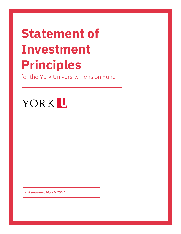# **Statement of Investment Principles**

for the York University Pension Fund

# YORKL

*Last updated: March 2021*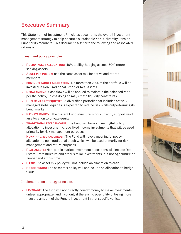# <span id="page-1-0"></span>Executive Summary

This Statement of Investment Principles documents the overall investment management strategy to help ensure a sustainable York University Pension Fund for its members. This document sets forth the following and associated rationale:

### Investment policy principles:

- **POLICY ASSET ALLOCATION:** 40% lability-hedging assets; 60% returnseeking assets.
- **ASSET MIX POLICY:** use the same asset mix for active and retired members.
- **MINIMUM TARGET ALLOCATION:** No more than 20% of the portfolio will be invested in Non-Traditional Credit or Real Assets.
- **REBALANCING:** Cash flows will be applied to maintain the balanced ratio per the policy, unless doing so may create liquidity constraints.
- **PUBLIC MARKET EQUITIES:** A diversified portfolio that includes actively managed global equities is expected to reduce risk while outperforming its benchmarks.
- **PRIVATE EQUITY:** The current Fund structure is not currently supportive of an allocation to private equity.
- **TRADITIONAL FIXED INCOME:** The Fund will have a meaningful policy allocation to investment-grade fixed income investments that will be used primarily for risk management purposes.
- **NON-TRADITIONAL CREDIT:** The Fund will have a meaningful policy allocation to non-traditional credit which will be used primarily for risk management and return purposes.
- **REAL ASSETS:** Non-public market investment allocations will include Real  $\mathbf{S}^{\text{max}}$ Estate, Infrastructure and other similar investments, but not Agriculture or Timberland at this time.
- **CASH:** The asset mix policy will not include an allocation to cash.
- **HEDGE FUNDS:** The asset mix policy will not include an allocation to hedge funds.

# Implementation strategy principles

**LEVERAGE:** The fund will not directly borrow money to make investments, unless appropriate; and if so, only if there is no possibility of losing more than the amount of the Fund's investment in that specific vehicle.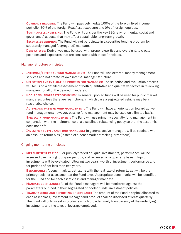- **CURRENCY HEDGING:** The Fund will passively hedge 100% of the foreign fixed income portfolio, 50% of the foreign Real Asset exposure and 0% of foreign equities.
- **SUSTAINABLE INVESTING:** The Fund will consider the key ESG (environmental, social and governance) aspects that may affect sustainable long-term growth.
- **SECURITIES LENDING:** The Fund will not participate in a securities lending program for separately managed (segregated) mandates.
- **DERIVATIVES:** Derivatives may be used, with proper expertise and oversight, to create positions and exposures that are consistent with these Principles.

#### Manager structure principles

- **INTERNAL/EXTERNAL FUND MANAGEMENT:** The Fund will use external money management services and not create its own internal manager structure.
- **SELECTION AND EVALUATION PROCESS FOR MANAGERS:** The selection and evaluation process will focus on a detailed assessment of both quantitative and qualitative factors in reviewing managers for all of the desired mandates.
- **POOLED VS. SEGREGATED VEHICLES:** In general, pooled funds will be used for public market mandates, unless there are restrictions, in which case a segregated vehicle may be a reasonable choice.
- **ACTIVE AND PASSIVE FUND MANAGEMENT:** The Fund will have an orientation toward active fund management; however, passive fund management may be used on a limited basis.
- **SPECIALTY FUND MANAGEMENT:** The Fund will use primarily specialty fund management in conjunction with the maintenance of a disciplined rebalancing policy so that the asset mix does not drift.
- **INVESTMENT STYLE AND FUND MANAGERS:** In general, active managers will be retained with an absolute return bias (instead of a benchmark or tracking-error focus).

#### Ongoing monitoring principles

- **MEASUREMENT PERIOD:** For publicly traded or liquid investments, performance will be assessed over rolling four-year periods, and reviewed on a quarterly basis. Illiquid investments will be evaluated following two years' worth of investment performance and for periods of not less than two years.
- **BENCHMARKS:** A benchmark target, along with the real rate of return target will be the primary tools for assessment at the Fund level. Appropriate benchmarks will be identified for the Fund and for each asset class and manager mandate.
- **MANDATE COMPLIANCE:** All of the Fund's managers will be monitored against the parameters outlined in their segregated or pooled funds' investment policies.
- **TRANSPARENCY AND REPORTING OF LEVERAGE:** The amount of the Fund's capital allocated to each asset class, investment manager and product shall be disclosed at least quarterly. The Fund will only invest in products which provide timely transparency of the underlying investments and the level of leverage employed.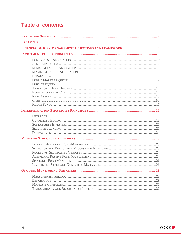# **Table of contents**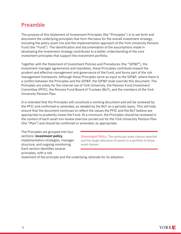# <span id="page-4-0"></span>Preamble

The purpose of this Statement of Investment Principles (the "Principles") is to set forth and document the underlying principles that form the basis for the overall investment strategy, including the policy asset mix and the implementation approach of the York University Pension Fund (the "Fund"). The identification and documentation of the assumptions made in developing the investment strategy contributes to a better understanding of the core investment principles that support the investment portfolio.

Together with the Statement of Investment Policies and Procedures (the "SIP&P"), the investment manager agreements and mandates, these Principles contribute toward the prudent and effective management and governance of the Fund, and forms part of the risk management framework. Although these Principles serve as input to the SIP&P, where there is a conflict between the Principles and the SIP&P, the SIP&P shall override this document. The Principles are solely for the internal use of York University, the Pension Fund Investment Committee (PFIC), the Pension Fund Board of Trustees (BoT), and the members of the York University Pension Plan.

It is intended that the Principles will constitute a working document and will be reviewed by the PFIC and confirmed or amended, as needed by the BoT on a periodic basis. This will help ensure that the document continues to reflect the values the PFIC and the BoT believe are appropriate to prudently invest the Fund. At a minimum, the Principles should be reviewed in the context of each asset mix review exercise carried out for the York University Pension Plan (the "Plan") and should be confirmed or amended, as appropriate.

The Principles are grouped into four sections: **investment policy**, implementation strategies, manager structure, and ongoing monitoring. Each section identifies several principles, with a risk

*Investment Policy:* The particular asset classes selected and the target allocation of assets in a portfolio to these asset classes.

statement of the principle and the underlying rationale for its adoption.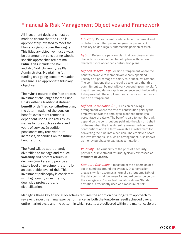# <span id="page-5-0"></span>Financial & Risk Management Objectives and Framework

All investment decisions must be made to ensure that the Fund is appropriately invested to meet the Plan's obligations over the long term. This fiduciary objective must always be paramount in considering whether specific approaches are optimal. **Fiduciaries** include the BoT, PFIC and also York University, as Plan Administrator. Maintaining full funding on a going concern valuation measure is an appropriate fiduciary objective.

The **hybrid** nature of the Plan creates investment challenges for the Fund. Unlike either a traditional **defined benefit** or **defined contribution** plan, the determination of the pension benefit levels at retirement is dependent upon Fund returns, as well as factors such as salary and years of service. In addition, pensioners may receive future increases, depending on the future Fund returns.

The Fund will be appropriately diversified to manage and reduce **volatility** and protect returns in declining markets and provide a stable level of investment returns for an acceptable level of **risk**. This investment philosophy is consistent with high quality investments, downside protection, and diversification.

*Fiduciary:* Person or entity who acts for the benefit and on behalf of another person or group of persons. A fiduciary holds a legally enforceable position of trust.

*Hybrid:* Refers to a pension plan that combines certain characteristics of defined benefit plans with certain characteristics of defined contribution plans.

*Defined Benefit (DB):* Pension arrangement where the benefits payable to members are clearly specified, usually as a percentage of salary at, or near, retirement. The contributions that are required to ensure that this commitment can be met will vary depending on the plan's investment and demographic experience and the benefits to be provided. The employer bears the investment risk in such an arrangement.

*Defined Contribution (DC):* Pension or savings arrangement where the rate of contribution paid by the employer and/or the employee is defined (usually a percentage of salary). The benefits paid to members will depend on the contributions paid into the plan on behalf of the member, the investment return earned on those contributions and the terms available at retirement for converting the fund into a pension. The employee bears the investment risk in such an arrangement. Also known as money purchase or capital accumulation.

*Volatility:* The variability of the price of a security, portfolio, or investment returns; typically expressed as **standard deviation.** 

*Standard Deviation:* A measure of the dispersion of a set of numbers around the average. In a regression analysis (which assumes a normal distribution), 68% of the data points fall between 1 standard deviation below the average and 1 standard deviation above. Standard deviation is frequently used as a measure of risk.

Managing these key financial objectives requires the adoption of a long-term approach to reviewing investment manager performance, as both the long-term result achieved over an entire market cycle and the pattern in which results are delivered within the market cycle are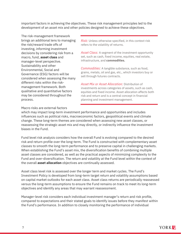important factors in achieving the objectives. These risk management principles led to the development of an asset mix and other policies designed to achieve these objectives.

The risk-management framework brings an additional lens to managing the risk/reward trade offs of investing, informing investment decisions by considering risk from a macro, fund, **asset class** and manager-level perspective. Sustainability and other Environmental, Social and Governance (ESG) factors will be considered when assessing the many different risks within the riskmanagement framework. Both qualitative and quantitative factors may be considered throughout the process.

*Risk:* Unless otherwise specified, in this context risk refers to the volatility of returns.

*Asset Class:* A segment of the investment opportunity set, such as cash, fixed income, equities, real estate, infrastructure, and **commodities.**

*Commodities:* A tangible substance, such as food, grains, metals, oil and gas, etc., which investors buy or sell through futures contracts.

*Asset Mix or Asset Allocation:* Distribution of investments across categories of assets, such as cash, equities and fixed income. Asset allocation affects both risk and return and is a central concept in financial planning and investment management.

Macro risks are external factors

which may impact long-term investment performance and opportunities and includes influences such as political risks, macroeconomic factors, geopolitical events and climate change. These long-term themes are considered when assessing new asset classes, or reassessing the strategic asset mix and may directly, or indirectly influence the investment biases in the Fund.

Fund level risk analysis considers how the overall Fund is evolving compared to the desired risk and return profile over the long-term. The Fund is constructed with complementary asset classes to smooth the long-term performance and to preserve capital in challenging markets. When establishing the Fund's asset mix, the diversification benefits of combining multiple asset classes are considered, as well as the practical aspects of minimizing complexity to the Fund and over-diversification. The return and volatility at the Fund level within the context of the overall **asset allocation** objectives are continually assessed.

Asset class level risk is assessed over the longer term and market cycles. The Fund's Investment Policy is developed from long-term target return and volatility assumptions based on capital market outlooks for each asset class. Asset class returns are periodically reassessed versus the long-term assumptions to ensure the Fund remains on track to meet its long-term objectives and identify any areas that may warrant reassessment.

Manager-level risk considers each individual investment manager's return and risk profile, compared to expectations and their stated goals to identify issues before they manifest within the Fund's performance. In addition to closely monitoring the performance of individual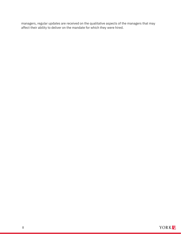managers, regular updates are received on the qualitative aspects of the managers that may affect their ability to deliver on the mandate for which they were hired.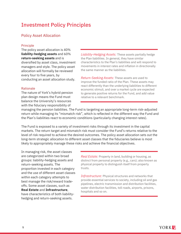# <span id="page-8-0"></span>Investment Policy Principles

# <span id="page-8-1"></span>Policy Asset Allocation

#### Principle

The policy asset allocation is 40% **liability-hedging assets** and 60% **return-seeking assets** and is diversified by asset class, investment managers and style. The policy asset allocation will formally be reviewed every four to five years, by conducting an asset allocation study.

#### Rationale

The nature of York's hybrid pension plan design means the Fund must balance the University's resources with the fiduciary responsibility of

*Liability-Hedging Assets:* These assets partially hedge the Plan liabilities. In general, they have similar characteristics to the Plan's liabilities and will respond to movements in interest rates and inflation in directionally the same manner as the liabilities.

*Return-Seeking Assets:* These assets are used to improve the funded ratio of the Plan. These assets may react differently than the underlying liabilities to different economic stimuli, and over a market cycle are expected to generate positive returns for the Fund, and add value relative to a relevant benchmark.

managing the pension liabilities. The Fund is targeting an appropriate long-term risk-adjusted return while managing its "mismatch risk", which is reflected in the different way the Fund and the Plan's liabilities react to economic conditions (particularly changing interest rates).

The Fund is exposed to a variety of investment risks through its investment in the capital markets. The return target and mismatch risk must consider the Fund's returns relative to the level of risk required to achieve the desired outcomes. The policy asset allocation sets out the long-term strategic allocation to different asset classes that the fiduciaries believe is most likely to appropriately manage these risks and achieve the financial objectives.

In managing risk, the asset classes are categorized within two broad groups: liability-hedging assets and return-seeking assets. The proportion invested in each category and the use of different asset classes within each category attempts to best manage the risk/reward tradeoffs. Some asset classes, such as **Real Estate** and **Infrastructure**, have characteristics of both liabilityhedging and return-seeking assets.

*Real Estate:* Property in land, building or housing, as distinct from personal property (e.g., cars); also known as physical property to distinguish itself from property trusts.

*Infrastructure:* Physical structures and networks that provide essential services to society, including oil and gas pipelines, electric transmission and distribution facilities, water distribution facilities, toll roads, airports, prisons, hospitals and so on.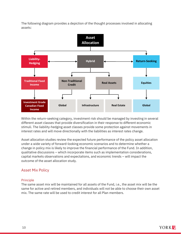The following diagram provides a depiction of the thought processes involved in allocating assets:



Within the return-seeking category, investment risk should be managed by investing in several different asset classes that provide diversification in their response to different economic stimuli. The liability-hedging asset classes provide some protection against movements in interest rates and will move directionally with the liabilities as interest rates change.

Asset allocation studies review the expected future performance of the policy asset allocation under a wide variety of forward-looking economic scenarios and to determine whether a change in policy mix is likely to improve the financial performance of the Fund. In addition, qualitative discussions – which incorporate items such as implementation considerations, capital markets observations and expectations, and economic trends – will impact the outcome of the asset allocation study.

# <span id="page-9-0"></span>Asset Mix Policy

# Principle

The same asset mix will be maintained for all assets of the Fund, i.e., the asset mix will be the same for active and retired members, and individuals will not be able to choose their own asset mix. The same rate will be used to credit interest for all Plan members.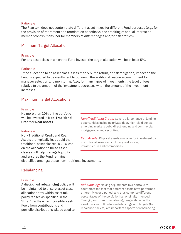#### Rationale

The Plan text does not contemplate different asset mixes for different Fund purposes (e.g., for the provision of retirement and termination benefits vs. the crediting of annual interest on member contributions, nor for members of different ages and/or risk profiles).

# <span id="page-10-0"></span>Minimum Target Allocation

#### **Principle**

For any asset class in which the Fund invests, the target allocation will be at least 5%.

#### Rationale

If the allocation to an asset class is less than 5%, the return, or risk mitigation, impact on the Fund is expected to be insufficient to outweigh the additional resource commitment for manager selection and monitoring. Also, for many types of investments, the level of fees relative to the amount of the investment decreases when the amount of the investment increases.

# <span id="page-10-1"></span>Maximum Target Allocations

#### Principle

No more than 20% of the portfolio will be invested in **Non-Traditional Credit** or **Real Assets**.

#### Rationale

Non-Traditional Credit and Real Assets are typically less liquid than traditional asset classes; a 20% cap on the allocation to these asset classes will help manage liquidity and ensures the Fund remains

*Non-Traditional Credit:* Covers a large range of lending opportunities including private debt, high-yield bonds, emerging markets debt, direct lending and commercial mortgage-backed securities.

*Real Assets:* Physical assets available for investment by institutional investors, including real estate, infrastructure and commodities.

diversified amongst these non-traditional investments.

# <span id="page-10-2"></span>Rebalancing

#### Principle

A disciplined **rebalancing** policy will be maintained to ensure asset class allocations stay within asset mix policy ranges as specified in the SIP&P. To the extent possible, cash flows from contributions and portfolio distributions will be used to

*Rebalancing:* Making adjustments to a portfolio to counteract the fact that different assets have performed differently over a period, and thus comprise different percentages of the portfolio than originally intended. Timing (how often to rebalance), ranges (how far the asset mix can drift before rebalancing), and targets (to rebalance back to) are important aspects of rebalancing.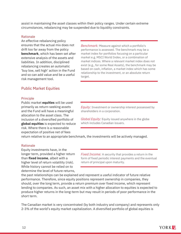assist in maintaining the asset classes within their policy ranges. Under certain extreme circumstances, rebalancing may be suspended due to liquidity constraints.

#### Rationale

An effective rebalancing policy ensures that the actual mix does not drift too far away from the policy **benchmark**, which has been set after extensive analysis of the assets and liabilities. In addition, disciplined rebalancing creates an automatic 'buy low, sell high' action in the Fund and so can add value and be a useful risk management tool.

<span id="page-11-0"></span>Public Market Equities

#### **Principle**

Public market **equities** will be used primarily as return-seeking assets and the Fund will have a meaningful allocation to the asset class. The inclusion of a diversified portfolio of **global equities** is expected to reduce risk. Where there is a reasonable expectation of positive net of fees

*Benchmark:* Measure against which a portfolio's performance is assessed. The benchmark may be a market index for portfolios focusing on a particular market e.g. MSCI World Index, or a combination of market indices. Where a relevant market index does not exist (e.g., for some Real Assets), the benchmark may be based on cash, inflation, a market index which has some relationship to the investment, or an absolute return target.

*Equity:* Investment or ownership interest possessed by shareholders in a corporation.

*Global Equity:* Equity issued anywhere in the globe which includes Canadian issuers.

return relative to an appropriate benchmark, the investments will be actively managed.

#### Rationale

Equity investments have, in the longer term, provided a higher return than **fixed income**, albeit with a higher level of return volatility (risk). While history cannot be relied on to determine the level of future returns,

*Fixed Income:* A security that provides a return in the form of fixed periodic interest payments and the eventual return of principal upon maturity.

the past relationships can be explained and represent a useful indicator of future relative performance. Therefore, since equity positions represent ownership in companies, they should, over the long term, provide a return premium over fixed income, which represent lending to companies. As such, an asset mix with a higher allocation to equities is expected to produce higher returns in the long-term but may result in periods of poor performance in the short term.

The Canadian market is very concentrated (by both industry and company) and represents only 2-3% of the world's equity market capitalization. A diversified portfolio of global equities is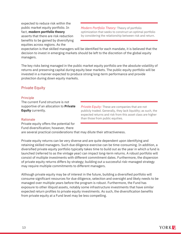expected to reduce risk within the public market equity portfolio. In fact, **modern portfolio theory** asserts that there are risk reduction benefits to be gained by diversifying equities across regions. As the

*Modern Portfolio Theory:* Theory of portfolio optimization that seeks to construct an optimal portfolio by considering the relationship between risk and return.

expectation is that skilled managers will be identified for each mandate, it is believed that the decision to invest in emerging markets should be left to the discretion of the global equity managers.

The key risks being managed in the public market equity portfolio are the absolute volatility of returns and preserving capital during equity bear markets. The public equity portfolio will be invested in a manner expected to produce strong long-term performance and provide protection during down equity markets.

# <span id="page-12-0"></span>Private Equity

#### Principle

The current Fund structure is not supportive of an allocation to **Private Equity** currently.

*Private Equity:* These are companies that are not publicly traded. Generally, they lack liquidity; as such, the expected returns and risk from this asset class are higher than those from public equities.

#### Rationale

Private equity offers the potential for Fund diversification; however, there

are several practical considerations that may dilute their attractiveness.

Private equity returns can be very diverse and are quite dependent upon identifying and retaining skilled managers. Such due diligence exercise can be time-consuming. In addition, a diversified private equity portfolio typically takes time to build out as the year in which a fund is launched (referred to as the vintage year) can impact long-term returns. A robust portfolio will consist of multiple investments with different commitment dates. Furthermore, the dispersion of private equity returns differs by strategy; building out a successful risk-managed strategy may require multiple commitments to different managers.

Although private equity may be of interest in the future, building a diversified portfolio will consume significant resources for due diligence, selection and oversight and likely needs to be managed over multiple years before the program is robust. Furthermore, the Fund has exposure to other illiquid assets, notably some infrastructure investments that have similar expected return profiles to private equity investments. As such, the diversification benefits from private equity at a Fund level may be less compelling.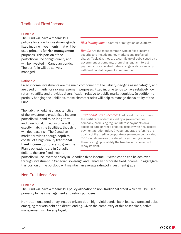# <span id="page-13-0"></span>Traditional Fixed Income

#### Principle

The Fund will have a meaningful policy allocation to investment-grade fixed income investments that will be used primarily for **risk management** purposes. This portion of the portfolio will be of high quality and will be invested in Canadian **bonds**. The portfolio will be actively managed.

*Risk Management:* Control or mitigation of volatility.

*Bonds:* Are the most common type of fixed-income security and include money markets and preferred shares. Typically, they are a certificate of debt issued by a government or company, promising regular interest payments on a specified date or range of dates, usually with final capital payment at redemption.

#### Rationale

Fixed income investments are the main component of the liability-hedging asset category and are used primarily for risk management purposes. Fixed income tends to have relatively low return volatility and provides diversification relative to public market equities. In addition to partially hedging the liabilities, these characteristics will help to manage the volatility of the Fund.

The liability-hedging characteristics of the investment-grade fixed income portfolio will tend to be long-term and directional. Fixed income will not exactly match the liabilities, though it will decrease risk. The Canadian market provides enough depth to construct a high quality **traditional fixed income** portfolio and, given the Plan's obligations are in Canadian dollars, the core fixed income

*Traditional Fixed Income:* Traditional fixed income is the certificate of debt issued by a government or company, promising regular interest payments on a specified date or range of dates, usually with final capital payment at redemption. Investment grade refers to the quality of the credit – corporate or sovereign bonds rated 'BBB-' or above are considered investment grade and there is a high probability the fixed income issuer will repay its debt.

portfolio will be invested solely in Canadian fixed income. Diversification can be achieved through investment in Canadian sovereign and Canadian corporate fixed income. In aggregate, this portion of the portfolio will maintain an average rating of investment grade.

# <span id="page-13-1"></span>Non-Traditional Credit

#### Principle

The Fund will have a meaningful policy allocation to non-traditional credit which will be used primarily for risk management and return purposes.

Non-traditional credit may include private debt, high-yield bonds, bank loans, distressed debt, emerging markets debt and direct lending. Given the complexity of this asset class, active management will be employed.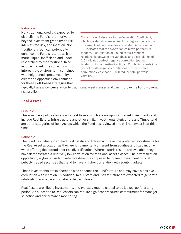#### Rationale

Non-traditional credit is expected to diversify the Fund's return drivers beyond investment grade credit risk, interest rate risk, and inflation. Nontraditional credit can potentially enhance the Fund's returns as it is more illiquid, inefficient, and underresearched by the traditional fixed income market. The current low interest rate environment, combined with heightened spread volatility, creates an opportune environment for these skill-based strategies that

*Correlation:* Reference to the Correlation Coefficient, which is a statistical measure of the degree to which the movements of two variables are related. A correlation of 1.0 indicates that the two variables move perfectly in tandem. A correlation of 0.0 indicates a random relationship between the variables, and a correlation of - 1.0 indicates perfect negative correlation (perfect tandem but in opposite directions). Combining assets in a portfolio with negative correlations or with positive correlations less than 1.0 will reduce total portfolio volatility.

typically have a low **correlation** to traditional asset classes and can improve the Fund's overall risk profile.

# <span id="page-14-0"></span>Real Assets

#### Principle

There will be a policy allocation to Real Assets which are non-public market investments and include Real Estate, Infrastructure and other similar investments. Agriculture and Timberland are other categories of Real Assets which the Fund has reviewed and will not invest in at this time.

#### Rationale

The Fund has initially identified Real Estate and Infrastructure as the preferred investments for the Real Asset allocation as they are fundamentally different from equities and fixed income while offering the potential for risk diversification. Where historic results are available, they have demonstrated a relatively low correlation to traditional asset classes. The diversification opportunity is greater with private investment, as opposed to indirect investment through publicly traded securities that tend to have a higher correlation with equity markets.

These investments are expected to also enhance the Fund's return and may have a positive correlation with inflation. In addition, Real Estate and Infrastructure are expected to generate relatively predictable and sustainable cash flows.

Real Assets are illiquid investments, and typically require capital to be locked-up for a long period. An allocation to Real Assets can require significant resource commitment for manager selection and performance monitoring.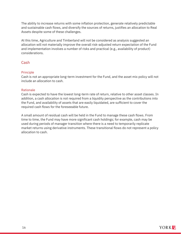The ability to increase returns with some inflation protection, generate relatively predictable and sustainable cash flows, and diversify the sources of returns, justifies an allocation to Real Assets despite some of these challenges.

At this time, Agriculture and Timberland will not be considered as analysis suggested an allocation will not materially improve the overall risk-adjusted return expectation of the Fund and implementation involves a number of risks and practical (e.g., availability of product) considerations.

# <span id="page-15-0"></span>Cash

#### Principle

Cash is not an appropriate long-term investment for the Fund, and the asset mix policy will not include an allocation to cash.

#### Rationale

Cash is expected to have the lowest long-term rate of return, relative to other asset classes. In addition, a cash allocation is not required from a liquidity perspective as the contributions into the Fund, and availability of assets that are easily liquidated, are sufficient to cover the required cash flows for the foreseeable future.

A small amount of residual cash will be held in the Fund to manage these cash flows. From time to time, the Fund may have more significant cash holdings; for example, cash may be used during periods of manager transition where there is a need to temporarily replicate market returns using derivative instruments. These transitional flows do not represent a policy allocation to cash.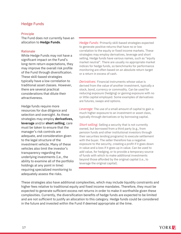# <span id="page-16-0"></span>Hedge Funds

#### Principle

The Fund does not currently have an allocation to **Hedge Funds**.

#### Rationale

While Hedge Funds may not have a significant impact on the Fund's long-term return expectations, they may improve the overall risk profile of the Fund through diversification. These skill-based strategies typically have a low correlation to traditional asset classes. However, there are several practical considerations that dilute their attractiveness.

Hedge funds require more resources for due diligence and selection and oversight. As these strategies may employ **derivatives, leverage** and/or **short selling**, care must be taken to ensure that the manager's risk controls are adequate, and consideration given to the legal structure of the investment vehicle. Many of these vehicles also limit the investor's transparency regarding the underlying investments (i.e., the ability to examine all of the portfolio holdings at any point in time) requiring specialized monitoring to adequately assess the risks.

*Hedge Funds:* Primarily skill-based strategies expected to generate positive returns that have no or low correlation to the equity or fixed income markets. These strategies may employ derivatives, leverage and short selling. Hedge funds have various names, such as "equity market neutral". There are usually no appropriate market indices for hedge funds, so benchmarks for performance monitoring are often based on an absolute return target or a return in excess of cash.

*Derivatives:* Financial instruments whose value is derived from the value of another investment, typically a stock, bond, currency or commodity. Can be used for reducing exposure (hedging) or gaining exposure with no or little capital employed. Some examples of derivatives are futures, swaps and options.

*Leverage:* The use of a small amount of capital to gain a much higher exposure to an investment or asset class, typically through derivatives or by borrowing capital.

*Short selling:* Selling a security that is not currently owned, but borrowed from a third party (e.g., from pension funds and other institutional investors through their securities lending programs) to execute settlement with the buyer. The seller therefore has a negative exposure to the security, creating a profit if it goes down in value and a loss if it goes up in value. Can be used to add value, for hedging, or to provide a temporary source of funds with which to make additional investments beyond those afforded by the original capital (i.e., to leverage the original capital).

These strategies also have additional complexities, which may include liquidity constraints and higher fees relative to traditional equity and fixed income mandates. Therefore, they must be expected to generate sufficient excess net returns in order to make it worthwhile given these complexities. Currently, the diversification benefits of hedge funds are expected to be limited and are not sufficient to justify an allocation to this category. Hedge funds could be considered in the future and invested within the Fund if deemed appropriate at the time.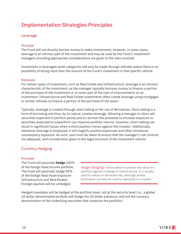# <span id="page-17-0"></span>Implementation Strategies Principles

# <span id="page-17-1"></span>Leverage

#### Principle

The Fund will not directly borrow money to make investments; however, in some cases, leverage is an intrinsic part of the investment and may be used by the Fund's investment managers providing appropriate considerations are given to the risks involved.

Investment in leveraged asset categories will only be made through vehicles where there is no possibility of losing more than the amount of the Fund's investment in that specific vehicle.

#### Rationale

For certain types of investment, such as Real Estate and Infrastructure, leverage is an intrinsic characteristic of the investment, as the manager typically borrows money to finance a portion of the purchase of the investment or to cover part of the cost of improvements on an investment. Infrastructure and Real Estate investments often create leverage using mortgages or similar vehicles to finance a portion of the purchase of the asset.

Typically, leverage is created through short selling or the use of derivatives. Short selling is a form of borrowing and thus, by its nature, creates leverage. Allowing a manager to short sell securities expected to perform poorly and to reinvest the proceeds to increase exposure to securities expected to outperform can improve portfolio returns. However, short-selling can result in significant losses when a short position moves against the investor. Additionally, whenever leverage is employed, it will magnify position exposures and often introduces counterparty exposure. As such, care must be taken to ensure that the manager's risk controls are adequate, and consideration given to the legal structure of the investment vehicle.

# <span id="page-17-2"></span>Currency Hedging

#### Principle

The Fund will passively **hedge** 100% of the foreign fixed income portfolio. The Fund will passively hedge 50% of the foreign Real Asset exposure (Infrastructure and Real Estate). Foreign equities will be unhedged.

*Hedge (hedging):* Action taken to protect the value of a portfolio against a change in market prices. It is usually used to reduce or eliminate risk, although similar techniques can also be used to speculate in a market.

Hedged mandates will be hedged at the portfolio level, not at the security level (i.e., a global US dollar denominated portfolio will hedge the US dollar exposure, and not the currency denomination of the underlying securities that comprise the portfolio).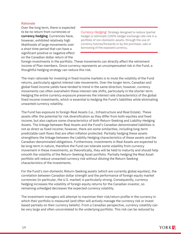#### Rationale

Over the long term, there is expected to be no return from currencies or **currency hedging**. Currencies have, however, exhibited relatively high likelihoods of large movements over a short time period that can have a significant positive or negative effect on the Canadian dollar return of the

*Currency Hedging:* Strategy designed to reduce (partial hedge) or eliminate (100% hedge) exchange rate risk in a portfolio of non-domestic assets, through the use of currency futures/forwards or by the purchase, sale or borrowing of the exposed currency.

foreign investments in the portfolio. These movements can directly affect the retirement income of Plan members. Since currency represents an uncompensated risk in the Fund, a thoughtful hedging strategy can reduce this risk.

The main rationale for investing in fixed income markets is to mute the volatility of the Fund returns, particularly against interest rate movements. Over the longer term, Canadian and global fixed income yields have tended to trend in the same direction; however, currency movements can often overwhelm these interest rate shifts, particularly in the shorter term. Hedging the entire currency exposure preserves the interest rate characteristics of the global fixed income investments, which is essential to hedging the Fund's liabilities while eliminating unwanted currency volatility.

The Fund has exposure to foreign Real Assets (i.e., Infrastructure and Real Estate). These assets offer the potential for risk diversification as they differ from both equities and fixed income, but also capture some characteristics of both Return-Seeking and Liability-Hedging Assets. The linkage between Real Assets and the Fund's Canadian denominated liabilities is not as direct as fixed income; however, there are some similarities, including long-term predictable cash flows that are often inflation protected. Partially hedging these assets strengthens the linkage between the Liability Hedging characteristics of these assets and the Canadian-denominated obligations. Furthermore, investments in Real Assets are expected to be long-term in nature, therefore the Fund can tolerate some volatility from currency movement in these investments, as theoretically, they will be held to maturity and should help smooth the volatility of the Return-Seeking Asset portfolio. Partially hedging the Real Asset portfolio will reduce unwanted currency risk without diluting the Return-Seeking characteristics of the investments.

For the Fund's non-domestic Return-Seeking assets (which are currently global equities), the correlation between Canadian dollar strength and the performance of foreign equity market currencies (in particular, the U.S. market) is particularly strong. Consequently, currency hedging increases the volatility of foreign equity returns for the Canadian investor, so remaining unhedged decreases the expected currency volatility.

The investment managers will attempt to maximize their risk/return profile in the currency in which their portfolio is measured (and often will actively manage the currency risk or invest based partially on their currency beliefs). From a Canadian perspective, currency volatility can be very large and often uncorrelated to the underlying portfolio. This risk can be reduced by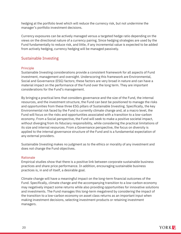hedging at the portfolio level which will reduce the currency risk, but not undermine the manager's portfolio investment decisions.

Currency exposures can be actively managed versus a targeted hedge ratio depending on the views on the directional nature of a currency pairing. Since hedging strategies are used by the Fund fundamentally to reduce risk, and little, if any incremental value is expected to be added from actively hedging, currency hedging will be managed passively.

# <span id="page-19-0"></span>Sustainable Investing

# Principle

Sustainable Investing considerations provide a consistent framework for all aspects of Fund investment, management and oversight. Underscoring this framework are Environmental, Social and Governance (ESG) factors; these factors are very broad in nature and can have a material impact on the performance of the Fund over the long term. They are important considerations for the Fund's management.

By bringing a practical lens that considers governance and the size of the Fund, the internal resources, and the investment structure, the Fund can best be positioned to manage the risks and opportunities from these three ESG pillars of Sustainable Investing. Specifically, the key Environmental risk faced by the Fund is currently climate change and, at a macro level, the Fund will focus on the risks and opportunities associated with a transition to a low-carbon economy. From a Social perspective, the Fund will seek to make a positive societal impact, without diverging from its fiduciary responsibility, while considering the practical limitations of its size and internal resources. From a Governance perspective, the focus on diversity is applied to the internal governance structure of the Fund and is a fundamental expectation of any external providers.

Sustainable Investing makes no judgment as to the ethics or morality of any investment and does not change the Fund objectives.

#### Rationale

Empirical studies show that there is a positive link between corporate sustainable business practices and share price performance. In addition, encouraging sustainable business practices is, in and of itself, a desirable goal.

Climate change will have a meaningful impact on the long-term financial outcomes of the Fund. Specifically, climate change and the accompanying transition to a low-carbon economy may negatively impact some returns while also providing opportunities for innovative solutions and investments. The Fund manages this long-term megatrend by considering the impact of the transition to a low-carbon economy on asset class returns as an important input when making investment decisions, selecting investment products or retaining investment managers.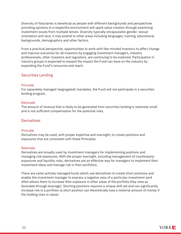Diversity of fiduciaries is beneficial as people with different backgrounds and perspectives providing opinions in a respectful environment will spark value creation through examining investment issues from multiple lenses. Diversity typically encapsulates gender, sexual orientation and race; it may extend to other areas including languages, training, educational backgrounds, demographics and other factors.

From a practical perspective, opportunities to work with like-minded investors to affect change and improve outcomes for all investors by engaging investment managers, industry professionals, other investors and regulators, are continuing to be explored. Participation in industry groups is expected to expand the impact the Fund can have on the industry by expanding the Fund's resources and reach.

# <span id="page-20-0"></span>Securities Lending

#### **Principle**

For separately managed (segregated) mandates, the Fund will not participate in a securities lending program.

#### Rationale

The amount of revenue that is likely to be generated from securities lending is relatively small and is not sufficient compensation for the potential risks*.*

# <span id="page-20-1"></span>**Derivatives**

# **Principle**

Derivatives may be used, with proper expertise and oversight, to create positions and exposures that are consistent with these Principles.

# Rationale

Derivatives are broadly used by investment managers for implementing positions and managing risk exposures. With the proper oversight, including management of counterparty exposures and liquidity risks, derivatives are an effective way for managers to implement their investment ideas and manage risk in their portfolios.

There are some actively managed funds which use derivatives to create short positions and enable the investment manager to express a negative view of a particular investment (and often allows them to increase their exposure in other areas of the portfolio they view as favorable through leverage). Shorting positions requires a unique skill set and can significantly increase risk in a portfolio (a short position can theoretically lose a material amount of money if the holding rises in value).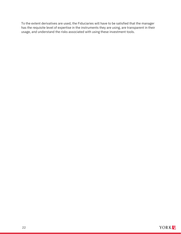To the extent derivatives are used, the Fiduciaries will have to be satisfied that the manager has the requisite level of expertise in the instruments they are using, are transparent in their usage, and understand the risks associated with using these investment tools.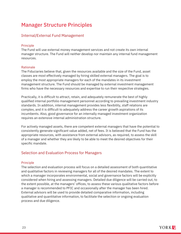# <span id="page-22-0"></span>Manager Structure Principles

# <span id="page-22-1"></span>Internal/External Fund Management

#### Principle

The Fund will use external money management services and not create its own internal manager structure. The Fund will neither develop nor maintain any internal fund management resources.

#### Rationale

The Fiduciaries believe that, given the resources available and the size of the Fund, asset classes are most effectively managed by hiring skilled external managers. The goal is to employ the most appropriate managers for each of the mandates in its investment management structure. The Fund should be managed by external investment management firms who have the necessary resources and expertise to run their respective strategies.

Practically, it is difficult to attract, retain, and adequately remunerate the best of highly qualified internal portfolio management personnel according to prevailing investment industry standards. In addition, internal management provides less flexibility, staff relations are complex, and it is difficult to adequately address the career growth aspirations of its incumbents. Also, good governance for an internally managed investment organization requires an extensive internal administration structure.

For actively managed assets, there are competent external managers that have the potential to consistently generate significant value added, net of fees. It is believed that the Fund has the appropriate resources, with assistance from external advisors, as required, to assess the skill of a manager and whether they are likely to be able to meet the desired objectives for their specific mandate.

# <span id="page-22-2"></span>Selection and Evaluation Process for Managers

#### **Principle**

The selection and evaluation process will focus on a detailed assessment of both quantitative and qualitative factors in reviewing managers for all of the desired mandates. The extent to which a manager incorporates environmental, social and governance factors will be explicitly considered when hiring and assessing managers. Detailed due diligence will be carried out, to the extent possible, at the managers' offices, to assess these various qualitative factors before a manager is recommended to PFIC and occasionally after the manager has been hired. External advisors will be used to provide detailed comparative information, including qualitative and quantitative information, to facilitate the selection or ongoing evaluation process and due diligence.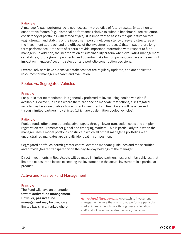#### Rationale

A manager's past performance is not necessarily predictive of future results. In addition to quantitative factors (e.g., historical performance relative to suitable benchmark, fee structure, consistency of portfolios with stated styles), it is important to assess the qualitative factors (e.g., strength and stability of the investment personnel, consistency of reward structures with the investment approach and the efficacy of the investment process) that impact future longterm performance. Both sets of criteria provide important information with respect to fund managers. In addition, the incorporation of sustainability criteria when evaluating management capabilities, future growth prospects, and potential risks for companies, can have a meaningful impact on managers' security selection and portfolio construction decisions.

External advisors have extensive databases that are regularly updated, and are dedicated resources for manager research and evaluation.

# <span id="page-23-0"></span>Pooled vs. Segregated Vehicles

#### Principle

For public market mandates, it is generally preferred to invest using pooled vehicles if available. However, in cases where there are specific mandate restrictions, a segregated vehicle may be a reasonable choice. Direct investments in Real Assets will be accessed through limited partnership vehicles (which are by definition pooled vehicles).

#### Rationale

Pooled funds offer some potential advantages, through lower transaction costs and simpler registration requirements for global and emerging markets. This is particularly true when the manager uses a model portfolio construct in which all of that manager's portfolios with unconstrained mandates are virtually identical in composition.

Segregated portfolios permit greater control over the mandate guidelines and the securities and provide greater transparency on the day-to-day holdings of the manager.

Direct investments in Real Assets will be made in limited partnerships, or similar vehicles, that limit the exposure to losses exceeding the investment in the actual investment in a particular product.

# <span id="page-23-1"></span>Active and Passive Fund Management

#### Principle

The Fund will have an orientation toward **active fund management**. However, **passive fund management** may be used on a limited basis, in a market where

*Active Fund Management:* Approach to investment management where the aim is to outperform a particular market index or benchmark through asset allocation and/or stock selection and/or currency decisions.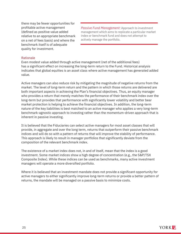there may be fewer opportunities for profitable active management (defined as positive value added relative to an appropriate benchmark on a net of fees basis) and where the benchmark itself is of adequate quality for investment.

*Passive Fund Management:* Approach to investment management which aims to replicate a particular market index or benchmark fund and does not attempt to actively manage the portfolio.

#### Rationale

Even modest value added through active management (net of the additional fees) has a significant effect on increasing the long-term return to the Fund. Historical analysis indicates that global equities is an asset class where active management has generated added value.

Active managers can also reduce risk by mitigating the magnitude of negative returns from the market. The level of long-term return and the pattern in which those returns are delivered are both important aspects in achieving the Plan's financial objectives. Thus, an equity manager who provides a return that merely matches the performance of their benchmark index over the long-term but provides that performance with significantly lower volatility and better bear market protection is helping to achieve the financial objectives. In addition, the long-term nature of the key liabilities is best matched to an active manager who applies a very long-term benchmark-agnostic approach to investing rather than the momentum-driven approach that is inherent in passive investing.

It is believed that the Fiduciaries can select active managers for most asset classes that will provide, in aggregate and over the long term, returns that outperform their passive benchmark indices and will do so with a pattern of returns that will improve the stability of performance. This approach is likely to result in manager portfolios that significantly deviate from the composition of the relevant benchmark index.

The existence of a market index does not, in and of itself, mean that the index is a good investment. Some market indices show a high degree of concentration (e.g., the S&P/TSX Composite Index). While these indices can be used as benchmarks, many active investment managers will operate a more diversified portfolio.

Where it is believed that an investment mandate does not provide a significant opportunity for active managers to either significantly improve long-term returns or provide a better pattern of returns, the mandate will be managed on a passive basis to minimize costs.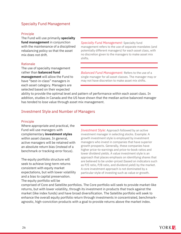# <span id="page-25-0"></span>Specialty Fund Management

#### Principle

The Fund will use primarily **specialty fund management** in conjunction with the maintenance of a disciplined rebalancing policy so that the asset mix does not drift.

#### Rationale

The use of specialty management rather than **balanced fund management** will allow the Fund to have "best-in-class" managers in each asset category. Managers are selected based on their expected

*Specialty Fund Management:* Specialty fund management refers to the use of separate mandates (and potentially different managers) for each asset class, with no discretion given to the managers to make asset mix shifts.

*Balanced Fund Management:* Refers to the use of a single manager for all asset classes. The manager may or may not have discretion to make asset mix shifts.

ability to provide the optimal level and pattern of performance within each asset class. In addition, studies in Canada and the US have shown that the median active balanced manager has tended to lose value through asset mix management.

#### <span id="page-25-1"></span>Investment Style and Number of Managers

#### Principle

Where appropriate and practical, the Fund will use managers with complementary **investment styles** within asset classes. In general, active managers will be retained with an absolute return bias (instead of a benchmark or tracking-error focus).

The equity portfolio structure will seek to achieve long-term returns consistent with equity market expectations, but with lower volatility and a bias to capital preservation. The equity portfolio will be

*Investment Style:* Approach followed by an active investment manager in selecting stocks. Example: A growth investment style is employed by investment managers who invest in companies that have superior growth prospects. Generally, these companies have higher price-to-earnings and price-to-book ratios and lower dividend yields. A value investment style is an approach that places emphasis on identifying shares that are believed to be under-priced (based on indicators such as P/E ratio, P/B ratio, and dividend yield) by the market. A core investment approach is not dominated by a particular style of investing such as value or growth.

comprised of Core and Satellite portfolios. The Core portfolio will seek to provide market-like returns, but with lower volatility, through its investment in products that track against the market (like index funds) and have broad diversification. The Satellite portfolio will seek to enhance the overall equity portfolio return through investments in concentrated, benchmarkagnostic, high-conviction products with a goal to provide returns above the market index.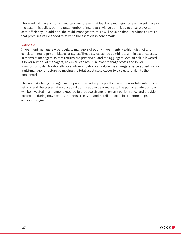The Fund will have a multi-manager structure with at least one manager for each asset class in the asset mix policy, but the total number of managers will be optimized to ensure overall cost-efficiency. In addition, the multi-manager structure will be such that it produces a return that promises value added relative to the asset class benchmark.

#### Rationale

Investment managers – particularly managers of equity investments - exhibit distinct and consistent management biases or styles. These styles can be combined, within asset classes, in teams of managers so that returns are preserved, and the aggregate level of risk is lowered. A lower number of managers, however, can result in lower manager costs and lower monitoring costs. Additionally, over-diversification can dilute the aggregate value added from a multi-manager structure by moving the total asset class closer to a structure akin to the benchmark.

The key risks being managed in the public market equity portfolio are the absolute volatility of returns and the preservation of capital during equity bear markets. The public equity portfolio will be invested in a manner expected to produce strong long-term performance and provide protection during down equity markets. The Core and Satellite portfolio structure helps achieve this goal.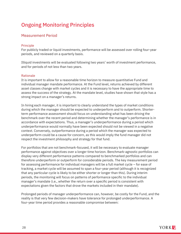# <span id="page-27-0"></span>Ongoing Monitoring Principles

# <span id="page-27-1"></span>Measurement Period

#### Principle

For publicly traded or liquid investments, performance will be assessed over rolling four-year periods, and reviewed on a quarterly basis.

Illiquid investments will be evaluated following two years' worth of investment performance, and for periods of not less than two years.

#### Rationale

It is important to allow for a reasonable time horizon to measure quantitative Fund and individual manager mandate performance. At the Fund level, returns achieved by different asset classes change with market cycles and it is necessary to have the appropriate time to assess the success of the strategy. At the mandate level, studies have shown that style has a strong impact on a manager's returns.

In hiring each manager, it is important to clearly understand the types of market conditions during which the manager should be expected to underperform and to outperform. Shorterterm performance assessment should focus on understanding what has been driving the benchmark over the recent period and determining whether the manager's performance is in accordance with expectations. Thus, a manager's underperformance during a period which underperformance would normally have been expected should not be viewed in a negative context. Conversely, outperformance during a period which the manager was expected to underperform could be a cause for concern, as this would imply the fund manager did not respect the investment philosophy and strategy for that fund.

For portfolios that are not benchmark-focused, it will be necessary to evaluate manager performance against objectives over a longer time horizon. Benchmark-agnostic portfolios can display very different performance patterns compared to benchmarked portfolios and can therefore underperform or outperform for considerable periods. The key measurement period for assessing performance for individual managers will be a full market cycle – for ease of tracking, a market cycle will be assumed to span a four-year period (although it is recognized that any particular cycle is likely to be either shorter or longer than this). During interim periods, the monitoring will focus on patterns of performance specific to the individual manager's mandate (i.e., whether the return over a specific period is consistent with expectations given the factors that drove the markets included in their mandate).

Prolonged periods of manager underperformance can, however, be costly for the Fund, and the reality is that very few decision-makers have tolerance for prolonged underperformance. A four-year time period provides a reasonable compromise between: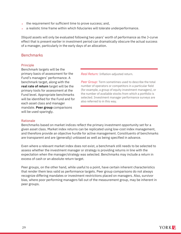- $\rightarrow$  the requirement for sufficient time to prove success; and,
- a realistic time frame within which fiduciaries will tolerate underperformance.

Illiquid assets will only be evaluated following two years' worth of performance as the J-curve effect that is present earlier in investment period can dramatically obscure the actual success of a manager, particularly in the early days of an allocation.

# <span id="page-28-0"></span>**Benchmarks**

#### Principle

Benchmark targets will be the primary basis of assessment for the Fund's managers' performance. A benchmark target, along with the **real rate of return** target will be the primary tools for assessment at the Fund level. Appropriate benchmarks will be identified for the Fund and for each asset class and manager mandate. **Peer group** comparisons will be used sparingly.

*Real Return:* Inflation-adjusted return.

*Peer Group:* Term sometimes used to describe the total number of operators or competitors in a particular field (for example, a group of equity investment managers), or the number of available stocks from which a portfolio is selected. Investment manager performance surveys are also referred to in this way.

#### Rationale

Benchmarks based on market indices reflect the primary investment opportunity set for a given asset class. Market index returns can be replicated using low-cost index management, and therefore provide an objective hurdle for active management. Constituents of benchmarks are transparent and are (generally) unbiased as well as being specified in advance.

Even where a relevant market index does not exist, a benchmark still needs to be selected to assess whether the investment manager or strategy is providing returns in line with the expectation when the manager/strategy was selected. Benchmarks may include a return in excess of cash or an absolute return target.

Peer groups, on the other hand, while useful to a point, have certain inherent characteristics that render them less valid as performance targets. Peer group comparisons do not always recognize differing mandates or investment restrictions placed on managers. Also, survivor bias, where poor performing managers fall out of the measurement group, may be inherent in peer groups.